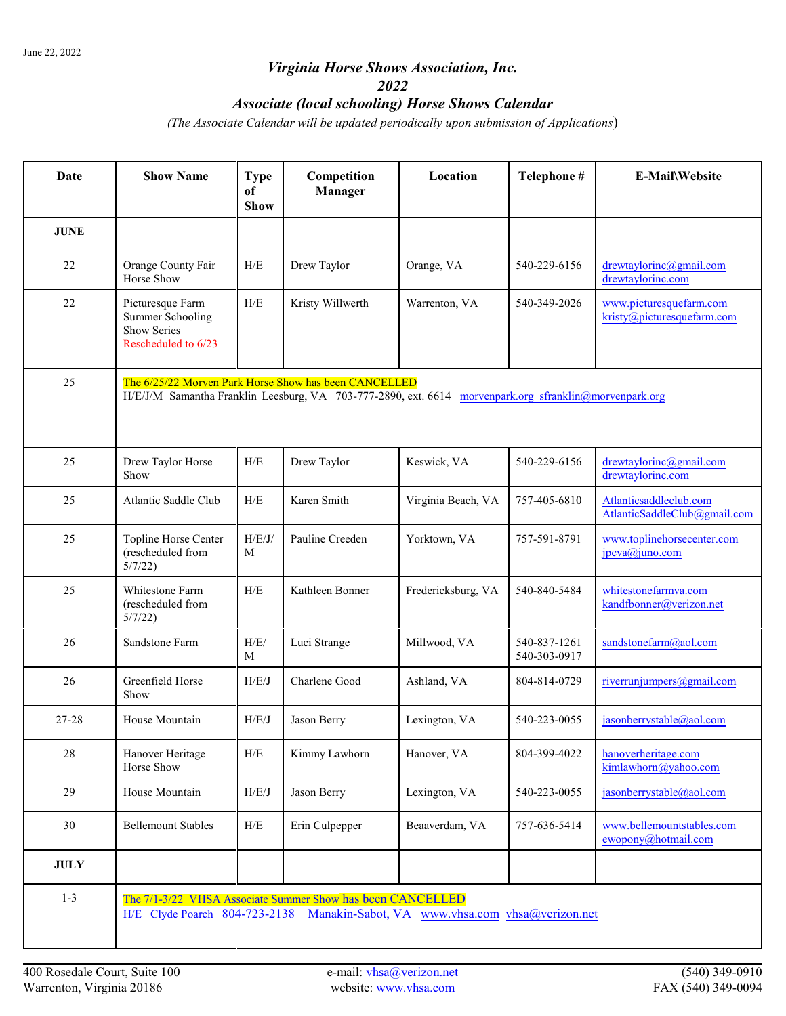## *Virginia Horse Shows Association, Inc. 2022 Associate (local schooling) Horse Shows Calendar*

*(The Associate Calendar will be updated periodically upon submission of Applications*)

| Date        | <b>Show Name</b>                                                                                                                                                | <b>Type</b><br>of<br><b>Show</b> | Competition<br>Manager | Location           | Telephone #                  | E-Mail\Website                                         |  |  |  |
|-------------|-----------------------------------------------------------------------------------------------------------------------------------------------------------------|----------------------------------|------------------------|--------------------|------------------------------|--------------------------------------------------------|--|--|--|
| <b>JUNE</b> |                                                                                                                                                                 |                                  |                        |                    |                              |                                                        |  |  |  |
| 22          | Orange County Fair<br>Horse Show                                                                                                                                | H/E                              | Drew Taylor            | Orange, VA         | 540-229-6156                 | drewtaylorinc@gmail.com<br>drewtaylorinc.com           |  |  |  |
| 22          | Picturesque Farm<br><b>Summer Schooling</b><br><b>Show Series</b><br>Rescheduled to 6/23                                                                        | H/E                              | Kristy Willwerth       | Warrenton, VA      | 540-349-2026                 | www.picturesquefarm.com<br>kristy@picturesquefarm.com  |  |  |  |
| 25          | The 6/25/22 Morven Park Horse Show has been CANCELLED<br>H/E/J/M Samantha Franklin Leesburg, VA 703-777-2890, ext. 6614 morvenpark.org sfranklin@morvenpark.org |                                  |                        |                    |                              |                                                        |  |  |  |
| 25          | Drew Taylor Horse<br>Show                                                                                                                                       | ${\rm H/E}$                      | Drew Taylor            | Keswick, VA        | 540-229-6156                 | drewtaylorinc@gmail.com<br>drewtaylorinc.com           |  |  |  |
| 25          | Atlantic Saddle Club                                                                                                                                            | H/E                              | Karen Smith            | Virginia Beach, VA | 757-405-6810                 | Atlanticsaddleclub.com<br>AtlanticSaddleClub@gmail.com |  |  |  |
| 25          | Topline Horse Center<br>(rescheduled from<br>5/7/22                                                                                                             | H/E/J/<br>M                      | Pauline Creeden        | Yorktown, VA       | 757-591-8791                 | www.toplinehorsecenter.com<br>jpcva@juno.com           |  |  |  |
| 25          | Whitestone Farm<br>(rescheduled from<br>5/7/22                                                                                                                  | H/E                              | Kathleen Bonner        | Fredericksburg, VA | 540-840-5484                 | whitestonefarmva.com<br>kandfbonner@verizon.net        |  |  |  |
| 26          | Sandstone Farm                                                                                                                                                  | H/E/<br>M                        | Luci Strange           | Millwood, VA       | 540-837-1261<br>540-303-0917 | sandstonefarm@aol.com                                  |  |  |  |
| 26          | Greenfield Horse<br>Show                                                                                                                                        | H/E/J                            | Charlene Good          | Ashland, VA        | 804-814-0729                 | riverrunjumpers@gmail.com                              |  |  |  |
| 27-28       | House Mountain                                                                                                                                                  | H/E/J                            | Jason Berry            | Lexington, VA      | 540-223-0055                 | jasonberrystable@aol.com                               |  |  |  |
| 28          | Hanover Heritage<br>Horse Show                                                                                                                                  | H/E                              | Kimmy Lawhorn          | Hanover, VA        | 804-399-4022                 | hanoverheritage.com<br>kimlawhorn@yahoo.com            |  |  |  |
| 29          | House Mountain                                                                                                                                                  | H/E/J                            | Jason Berry            | Lexington, VA      | 540-223-0055                 | jasonberrystable@aol.com                               |  |  |  |
| 30          | <b>Bellemount Stables</b>                                                                                                                                       | H/E                              | Erin Culpepper         | Beaaverdam, VA     | 757-636-5414                 | www.bellemountstables.com<br>ewopony@hotmail.com       |  |  |  |
| <b>JULY</b> |                                                                                                                                                                 |                                  |                        |                    |                              |                                                        |  |  |  |
| $1 - 3$     | The 7/1-3/22 VHSA Associate Summer Show has been CANCELLED<br>H/E Clyde Poarch 804-723-2138 Manakin-Sabot, VA www.vhsa.com vhsa@verizon.net                     |                                  |                        |                    |                              |                                                        |  |  |  |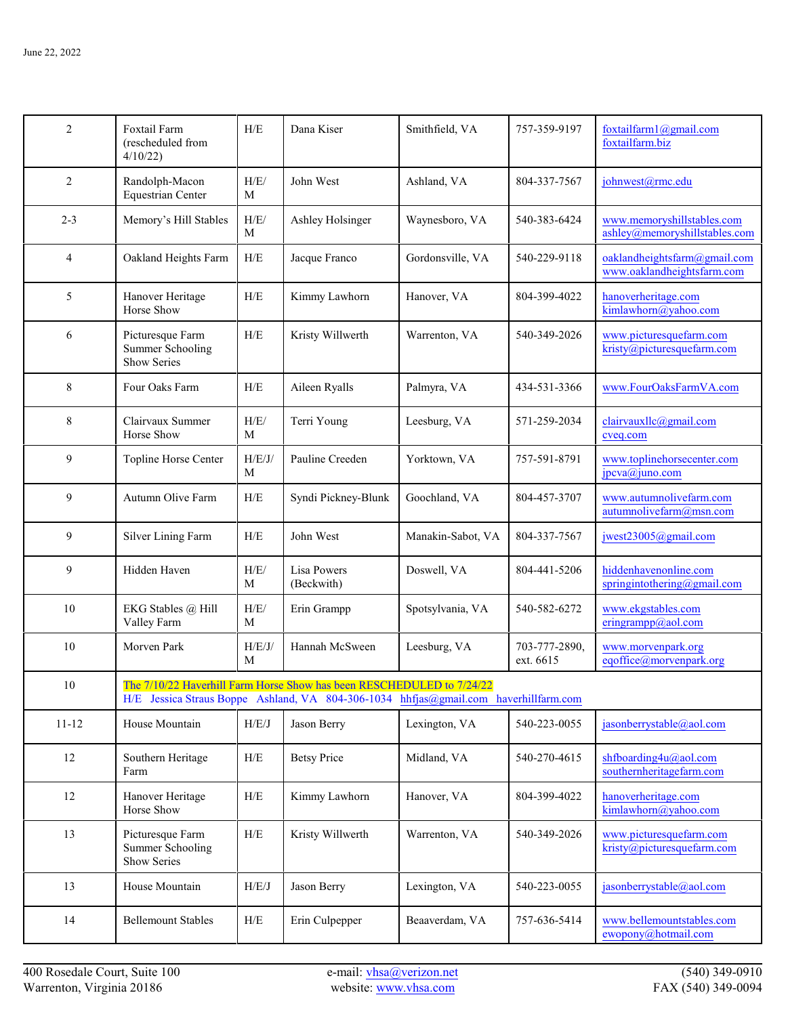| $\overline{2}$ | Foxtail Farm<br>(rescheduled from<br>4/10/22                                         | H/E         | Dana Kiser                                                            | Smithfield, VA    | 757-359-9197               | foxtailfarm $1$ ( $a$ ) gmail.com<br>foxtailfarm.biz        |
|----------------|--------------------------------------------------------------------------------------|-------------|-----------------------------------------------------------------------|-------------------|----------------------------|-------------------------------------------------------------|
| $\overline{2}$ | Randolph-Macon<br><b>Equestrian Center</b>                                           | H/E/<br>M   | John West                                                             | Ashland, VA       | 804-337-7567               | johnwest@rmc.edu                                            |
| $2 - 3$        | Memory's Hill Stables                                                                | H/E/<br>M   | Ashley Holsinger                                                      | Waynesboro, VA    | 540-383-6424               | www.memoryshillstables.com<br>ashley@memoryshillstables.com |
| $\overline{4}$ | Oakland Heights Farm                                                                 | H/E         | Jacque Franco                                                         | Gordonsville, VA  | 540-229-9118               | oaklandheightsfarm@gmail.com<br>www.oaklandheightsfarm.com  |
| 5              | Hanover Heritage<br>Horse Show                                                       | H/E         | Kimmy Lawhorn                                                         | Hanover, VA       | 804-399-4022               | hanoverheritage.com<br>kimlawhorn@yahoo.com                 |
| 6              | Picturesque Farm<br><b>Summer Schooling</b><br>Show Series                           | H/E         | Kristy Willwerth                                                      | Warrenton, VA     | 540-349-2026               | www.picturesquefarm.com<br>kristy@picturesquefarm.com       |
| 8              | Four Oaks Farm                                                                       | ${\rm H/E}$ | Aileen Ryalls                                                         | Palmyra, VA       | 434-531-3366               | www.FourOaksFarmVA.com                                      |
| 8              | Clairvaux Summer<br>Horse Show                                                       | H/E/<br>M   | Terri Young                                                           | Leesburg, VA      | 571-259-2034               | clairvauxllc@gmail.com<br>cveq.com                          |
| 9              | Topline Horse Center                                                                 | H/E/J/<br>M | Pauline Creeden                                                       | Yorktown, VA      | 757-591-8791               | www.toplinehorsecenter.com<br>jpcva@juno.com                |
| 9              | Autumn Olive Farm                                                                    | H/E         | Syndi Pickney-Blunk                                                   | Goochland, VA     | 804-457-3707               | www.autumnolivefarm.com<br>autumnolivefarm@msn.com          |
| 9              | Silver Lining Farm                                                                   | H/E         | John West                                                             | Manakin-Sabot, VA | 804-337-7567               | jwest23005@gmail.com                                        |
| 9              | Hidden Haven                                                                         | H/E/<br>M   | Lisa Powers<br>(Beckwith)                                             | Doswell, VA       | 804-441-5206               | hiddenhavenonline.com<br>springintothering@gmail.com        |
| 10             | EKG Stables @ Hill<br>Valley Farm                                                    | H/E/<br>M   | Erin Grampp                                                           | Spotsylvania, VA  | 540-582-6272               | www.ekgstables.com<br>eringrampp@aol.com                    |
| 10             | Morven Park                                                                          | H/E/J/<br>M | Hannah McSween                                                        | Leesburg, VA      | 703-777-2890,<br>ext. 6615 | www.morvenpark.org<br>eqoffice@morvenpark.org               |
| 10             | H/E Jessica Straus Boppe Ashland, VA 804-306-1034 hhfjas@gmail.com haverhillfarm.com |             | The 7/10/22 Haverhill Farm Horse Show has been RESCHEDULED to 7/24/22 |                   |                            |                                                             |
| $11 - 12$      | House Mountain                                                                       | H/E/J       | Jason Berry                                                           | Lexington, VA     | 540-223-0055               | jasonberrystable@aol.com                                    |
| 12             | Southern Heritage<br>Farm                                                            | H/E         | <b>Betsy Price</b>                                                    | Midland, VA       | 540-270-4615               | shfboarding4u@aol.com<br>southernheritagefarm.com           |
| 12             | Hanover Heritage<br>Horse Show                                                       | H/E         | Kimmy Lawhorn                                                         | Hanover, VA       | 804-399-4022               | hanoverheritage.com<br>kimlawhorn@yahoo.com                 |
| 13             | Picturesque Farm<br><b>Summer Schooling</b><br>Show Series                           | H/E         | Kristy Willwerth                                                      | Warrenton, VA     | 540-349-2026               | www.picturesquefarm.com<br>$k$ risty@picturesquefarm.com    |
| 13             | House Mountain                                                                       | H/E/J       | Jason Berry                                                           | Lexington, VA     | 540-223-0055               | jasonberrystable@aol.com                                    |
| 14             | <b>Bellemount Stables</b>                                                            | H/E         | Erin Culpepper                                                        | Beaaverdam, VA    | 757-636-5414               | www.bellemountstables.com<br>ewopony@hotmail.com            |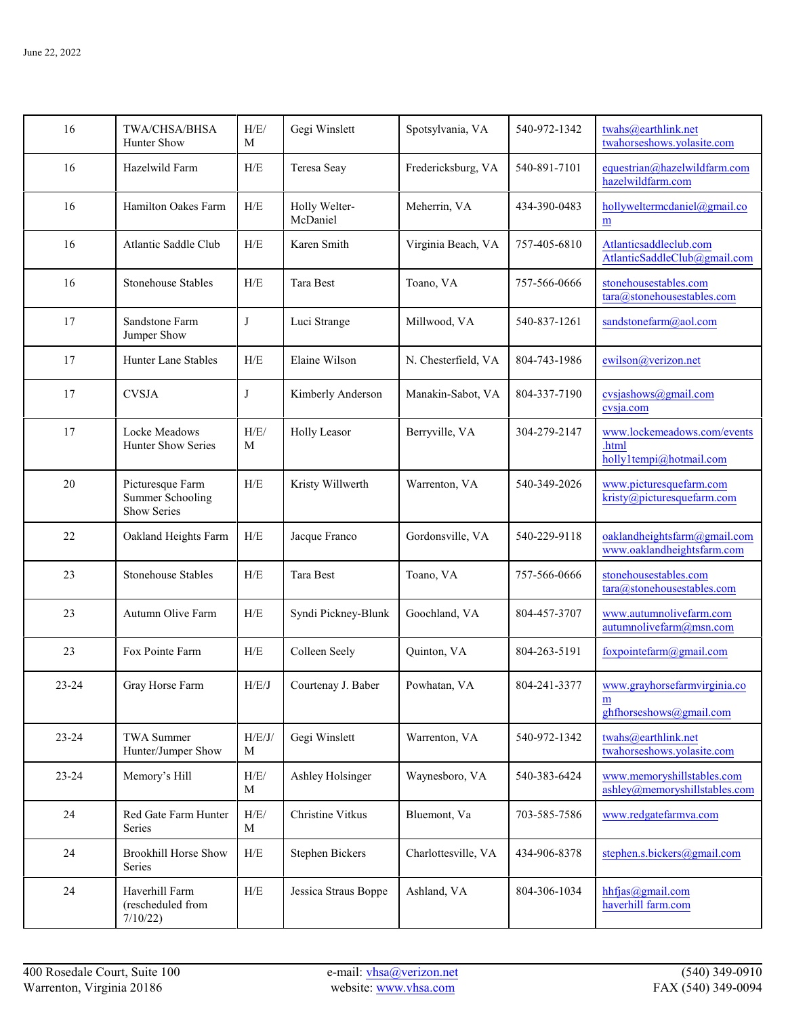| 16        | TWA/CHSA/BHSA<br>Hunter Show                               | H/E/<br>M   | Gegi Winslett             | Spotsylvania, VA    | 540-972-1342 | twahs@earthlink.net<br>twahorseshows.yolasite.com                                            |
|-----------|------------------------------------------------------------|-------------|---------------------------|---------------------|--------------|----------------------------------------------------------------------------------------------|
| 16        | Hazelwild Farm                                             | H/E         | Teresa Seay               | Fredericksburg, VA  | 540-891-7101 | equestrian@hazelwildfarm.com<br>hazelwildfarm.com                                            |
| 16        | Hamilton Oakes Farm                                        | ${\rm H/E}$ | Holly Welter-<br>McDaniel | Meherrin, VA        | 434-390-0483 | hollyweltermcdaniel@gmail.co<br>m                                                            |
| 16        | Atlantic Saddle Club                                       | ${\rm H/E}$ | Karen Smith               | Virginia Beach, VA  | 757-405-6810 | Atlanticsaddleclub.com<br>AtlanticSaddleClub@gmail.com                                       |
| 16        | <b>Stonehouse Stables</b>                                  | H/E         | Tara Best                 | Toano, VA           | 757-566-0666 | stonehousestables.com<br>tara@stonehousestables.com                                          |
| 17        | Sandstone Farm<br>Jumper Show                              | J           | Luci Strange              | Millwood, VA        | 540-837-1261 | sandstonefarm@aol.com                                                                        |
| 17        | <b>Hunter Lane Stables</b>                                 | H/E         | Elaine Wilson             | N. Chesterfield, VA | 804-743-1986 | ewilson@verizon.net                                                                          |
| 17        | <b>CVSJA</b>                                               | J           | Kimberly Anderson         | Manakin-Sabot, VA   | 804-337-7190 | cvsjashows@gmail.com<br>cvsja.com                                                            |
| 17        | Locke Meadows<br>Hunter Show Series                        | H/E/<br>М   | Holly Leasor              | Berryville, VA      | 304-279-2147 | www.lockemeadows.com/events<br>.html<br>holly1tempi@hotmail.com                              |
| 20        | Picturesque Farm<br><b>Summer Schooling</b><br>Show Series | ${\rm H/E}$ | Kristy Willwerth          | Warrenton, VA       | 540-349-2026 | www.picturesquefarm.com<br>kristy@picturesquefarm.com                                        |
| 22        | Oakland Heights Farm                                       | H/E         | Jacque Franco             | Gordonsville, VA    | 540-229-9118 | oaklandheightsfarm@gmail.com<br>www.oaklandheightsfarm.com                                   |
| 23        | <b>Stonehouse Stables</b>                                  | H/E         | Tara Best                 | Toano, VA           | 757-566-0666 | stonehousestables.com<br>$\overline{\text{tara}\textcircled{a}\text{stonehousestables.com}}$ |
| 23        | Autumn Olive Farm                                          | H/E         | Syndi Pickney-Blunk       | Goochland, VA       | 804-457-3707 | www.autumnolivefarm.com<br>autumnolivefarm@msn.com                                           |
| 23        | Fox Pointe Farm                                            | ${\rm H/E}$ | Colleen Seely             | Quinton, VA         | 804-263-5191 | foxpointefarm@gmail.com                                                                      |
| 23-24     | Gray Horse Farm                                            | H/E/J       | Courtenav J. Baber        | Powhatan. VA        | 804-241-3377 | www.gravhorsefarmvirginia.co<br>m<br>ghthorseshows@gmail.com                                 |
| 23-24     | <b>TWA Summer</b><br>Hunter/Jumper Show                    | H/E/J/<br>M | Gegi Winslett             | Warrenton, VA       | 540-972-1342 | twahs@earthlink.net<br>twahorseshows.yolasite.com                                            |
| $23 - 24$ | Memory's Hill                                              | H/E/<br>M   | Ashley Holsinger          | Waynesboro, VA      | 540-383-6424 | www.memoryshillstables.com<br>ashley@memoryshillstables.com                                  |
| 24        | Red Gate Farm Hunter<br>Series                             | H/E/<br>М   | Christine Vitkus          | Bluemont, Va        | 703-585-7586 | www.redgatefarmva.com                                                                        |
| 24        | <b>Brookhill Horse Show</b><br>Series                      | ${\rm H/E}$ | <b>Stephen Bickers</b>    | Charlottesville, VA | 434-906-8378 | stephen.s.bickers@gmail.com                                                                  |
| 24        | Haverhill Farm<br>(rescheduled from<br>7/10/22             | H/E         | Jessica Straus Boppe      | Ashland, VA         | 804-306-1034 | hhfjas@gmail.com<br>haverhill farm.com                                                       |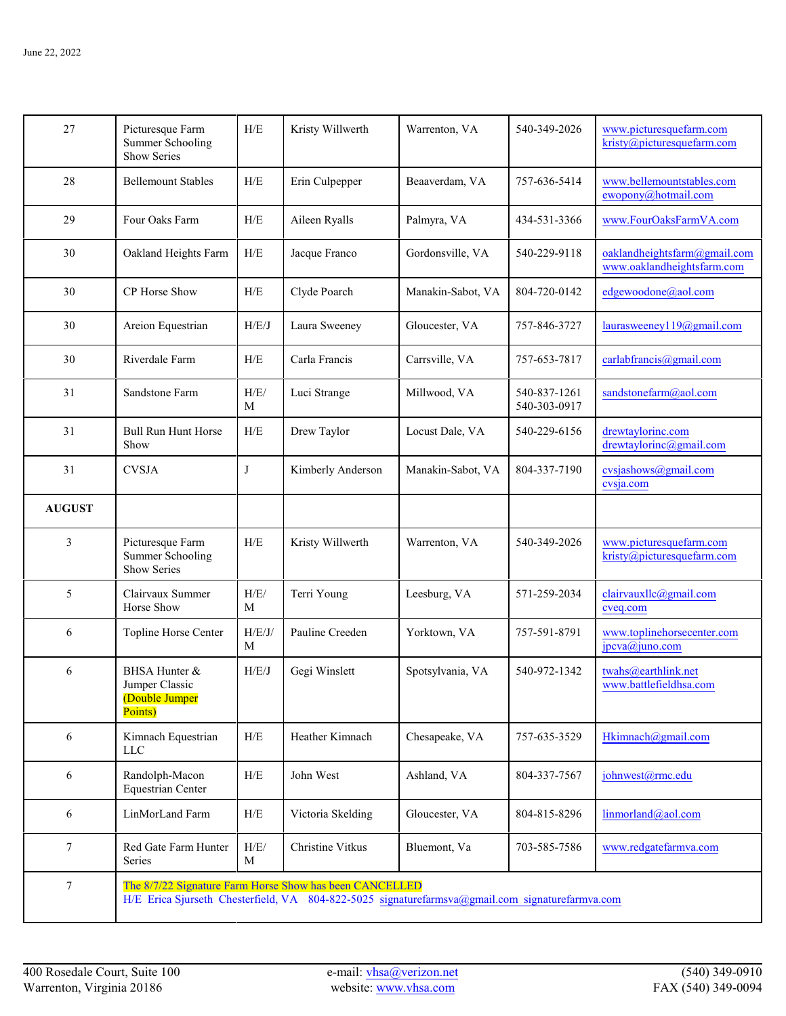| 27            | Picturesque Farm<br><b>Summer Schooling</b><br>Show Series                                      | H/E             | Kristy Willwerth                                        | Warrenton, VA     | 540-349-2026                 | www.picturesquefarm.com<br>kristy@picturesquefarm.com      |
|---------------|-------------------------------------------------------------------------------------------------|-----------------|---------------------------------------------------------|-------------------|------------------------------|------------------------------------------------------------|
| 28            | <b>Bellemount Stables</b>                                                                       | H/E             | Erin Culpepper                                          | Beaaverdam, VA    | 757-636-5414                 | www.bellemountstables.com<br>ewopony@hotmail.com           |
| 29            | Four Oaks Farm                                                                                  | H/E             | Aileen Ryalls                                           | Palmyra, VA       | 434-531-3366                 | www.FourOaksFarmVA.com                                     |
| 30            | Oakland Heights Farm                                                                            | H/E             | Jacque Franco                                           | Gordonsville, VA  | 540-229-9118                 | oaklandheightsfarm@gmail.com<br>www.oaklandheightsfarm.com |
| 30            | CP Horse Show                                                                                   | H/E             | Clyde Poarch                                            | Manakin-Sabot, VA | 804-720-0142                 | edgewoodone@aol.com                                        |
| 30            | Areion Equestrian                                                                               | H/E/J           | Laura Sweeney                                           | Gloucester, VA    | 757-846-3727                 | laurasweeney119@gmail.com                                  |
| 30            | Riverdale Farm                                                                                  | H/E             | Carla Francis                                           | Carrsville, VA    | 757-653-7817                 | carlabfrancis@gmail.com                                    |
| 31            | Sandstone Farm                                                                                  | H/E/<br>M       | Luci Strange                                            | Millwood, VA      | 540-837-1261<br>540-303-0917 | sandstonefarm@aol.com                                      |
| 31            | <b>Bull Run Hunt Horse</b><br>Show                                                              | ${\rm H/E}$     | Drew Taylor                                             | Locust Dale, VA   | 540-229-6156                 | drewtaylorinc.com<br>$d$ rewtaylorinc@gmail.com            |
| 31            | <b>CVSJA</b>                                                                                    | J               | Kimberly Anderson                                       | Manakin-Sabot, VA | 804-337-7190                 | cvsjashows@gmail.com<br>cvsja.com                          |
| <b>AUGUST</b> |                                                                                                 |                 |                                                         |                   |                              |                                                            |
| 3             | Picturesque Farm<br><b>Summer Schooling</b><br>Show Series                                      | H/E             | Kristy Willwerth                                        | Warrenton, VA     | 540-349-2026                 | www.picturesquefarm.com<br>kristy@picturesquefarm.com      |
| 5             | Clairvaux Summer<br>Horse Show                                                                  | $\rm H/E/$<br>M | Terri Young                                             | Leesburg, VA      | 571-259-2034                 | clairvauxllc@gmail.com<br>cveq.com                         |
| 6             | Topline Horse Center                                                                            | H/E/J/<br>M     | Pauline Creeden                                         | Yorktown, VA      | 757-591-8791                 | www.toplinehorsecenter.com<br>jpcva@juno.com               |
| 6             | BHSA Hunter &<br>Jumper Classic<br>(Double Jumper<br>Points)                                    | H/E/J           | Gegi Winslett                                           | Spotsylvania, VA  | 540-972-1342                 | twahs@earthlink.net<br>www.battlefieldhsa.com              |
| 6             | Kimnach Equestrian<br><b>LLC</b>                                                                | H/E             | Heather Kimnach                                         | Chesapeake, VA    | 757-635-3529                 | Hkimnach@gmail.com                                         |
| 6             | Randolph-Macon<br><b>Equestrian Center</b>                                                      | H/E             | John West                                               | Ashland, VA       | 804-337-7567                 | johnwest@rmc.edu                                           |
| 6             | LinMorLand Farm                                                                                 | H/E             | Victoria Skelding                                       | Gloucester, VA    | 804-815-8296                 | linmorland@aol.com                                         |
| 7             | Red Gate Farm Hunter<br>Series                                                                  | H/E/<br>M       | Christine Vitkus                                        | Bluemont, Va      | 703-585-7586                 | www.redgatefarmva.com                                      |
| 7             | H/E Erica Sjurseth Chesterfield, VA 804-822-5025 signaturefarmsva@gmail.com signaturefarmva.com |                 | The 8/7/22 Signature Farm Horse Show has been CANCELLED |                   |                              |                                                            |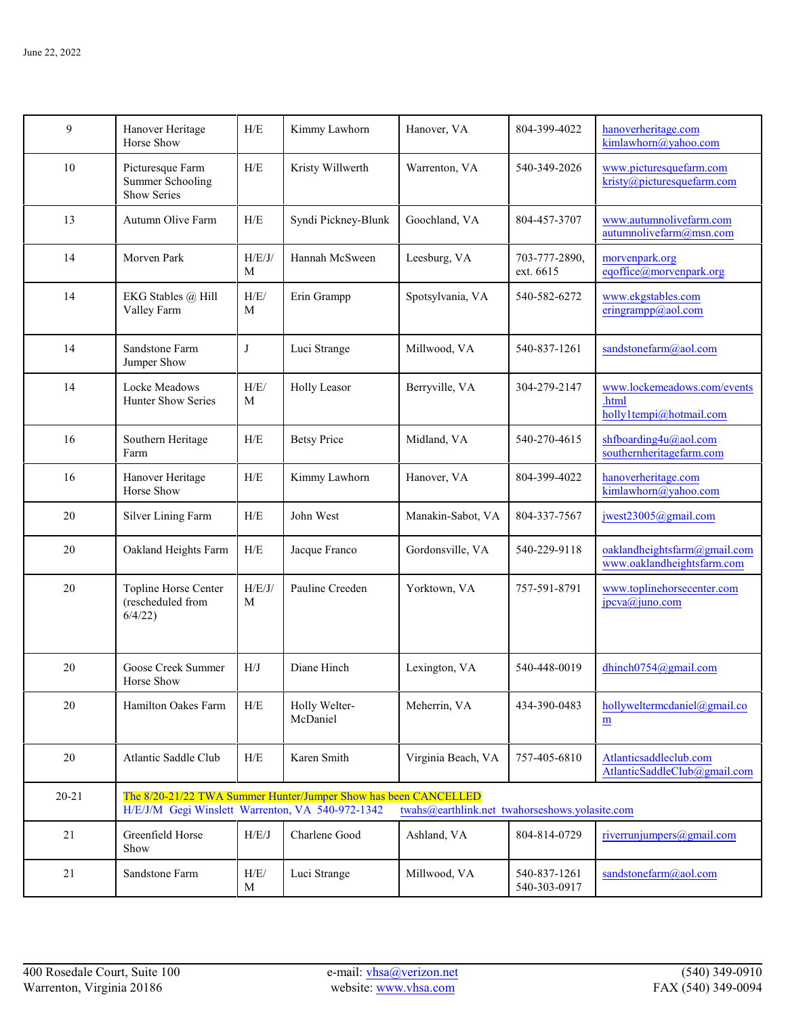| 9         | Hanover Heritage<br>Horse Show                             | H/E         | Kimmy Lawhorn                                                   | Hanover, VA                                    | 804-399-4022                 | hanoverheritage.com<br>kimlawhorn@yahoo.com                     |
|-----------|------------------------------------------------------------|-------------|-----------------------------------------------------------------|------------------------------------------------|------------------------------|-----------------------------------------------------------------|
| 10        | Picturesque Farm<br><b>Summer Schooling</b><br>Show Series | H/E         | Kristy Willwerth                                                | Warrenton, VA                                  | 540-349-2026                 | www.picturesquefarm.com<br>kristy@picturesquefarm.com           |
| 13        | Autumn Olive Farm                                          | H/E         | Syndi Pickney-Blunk                                             | Goochland, VA                                  | 804-457-3707                 | www.autumnolivefarm.com<br>autumnolivefarm@msn.com              |
| 14        | Morven Park                                                | H/E/J/<br>M | Hannah McSween                                                  | Leesburg, VA                                   | 703-777-2890,<br>ext. 6615   | morvenpark.org<br>eqoffice@morvenpark.org                       |
| 14        | EKG Stables @ Hill<br>Valley Farm                          | H/E/<br>M   | Erin Grampp                                                     | Spotsylvania, VA                               | 540-582-6272                 | www.ekgstables.com<br>eringrampp@aol.com                        |
| 14        | Sandstone Farm<br>Jumper Show                              | J           | Luci Strange                                                    | Millwood, VA                                   | 540-837-1261                 | sandstonefarm@aol.com                                           |
| 14        | Locke Meadows<br><b>Hunter Show Series</b>                 | H/E/<br>M   | <b>Holly Leasor</b>                                             | Berryville, VA                                 | 304-279-2147                 | www.lockemeadows.com/events<br>.html<br>holly1tempi@hotmail.com |
| 16        | Southern Heritage<br>Farm                                  | H/E         | <b>Betsy Price</b>                                              | Midland, VA                                    | 540-270-4615                 | shfboarding4u@aol.com<br>southernheritagefarm.com               |
| 16        | Hanover Heritage<br>Horse Show                             | H/E         | Kimmy Lawhorn                                                   | Hanover, VA                                    | 804-399-4022                 | hanoverheritage.com<br>kimlawhorn@yahoo.com                     |
| 20        | Silver Lining Farm                                         | H/E         | John West                                                       | Manakin-Sabot, VA                              | 804-337-7567                 | jwest23005@gmail.com                                            |
| 20        | Oakland Heights Farm                                       | H/E         | Jacque Franco                                                   | Gordonsville, VA                               | 540-229-9118                 | oaklandheightsfarm@gmail.com<br>www.oaklandheightsfarm.com      |
| 20        | Topline Horse Center<br>(rescheduled from<br>6/4/22        | H/E/J/<br>M | Pauline Creeden                                                 | Yorktown, VA                                   | 757-591-8791                 | www.toplinehorsecenter.com<br>jpcva@juno.com                    |
| 20        | Goose Creek Summer<br>Horse Show                           | H/J         | Diane Hinch                                                     | Lexington, VA                                  | 540-448-0019                 | dhinch0754@gmail.com                                            |
| 20        | Hamilton Oakes Farm                                        | H/E         | Holly Welter-<br>McDaniel                                       | Meherrin, VA                                   | 434-390-0483                 | hollyweltermcdaniel@gmail.co<br>m                               |
| $20\,$    | Atlantic Saddle Club                                       | H/E         | Karen Smith                                                     | Virginia Beach, VA                             | 757-405-6810                 | Atlanticsaddleclub.com<br>AtlanticSaddleClub@gmail.com          |
| $20 - 21$ | H/E/J/M Gegi Winslett Warrenton, VA 540-972-1342           |             | The 8/20-21/22 TWA Summer Hunter/Jumper Show has been CANCELLED | twahs@earthlink.net twahorseshows.yolasite.com |                              |                                                                 |
| 21        | Greenfield Horse<br>Show                                   | H/E/J       | Charlene Good                                                   | Ashland, VA                                    | 804-814-0729                 | riverrunjumpers@gmail.com                                       |
| 21        | Sandstone Farm                                             | H/E/<br>M   | Luci Strange                                                    | Millwood, VA                                   | 540-837-1261<br>540-303-0917 | sandstonefarm@aol.com                                           |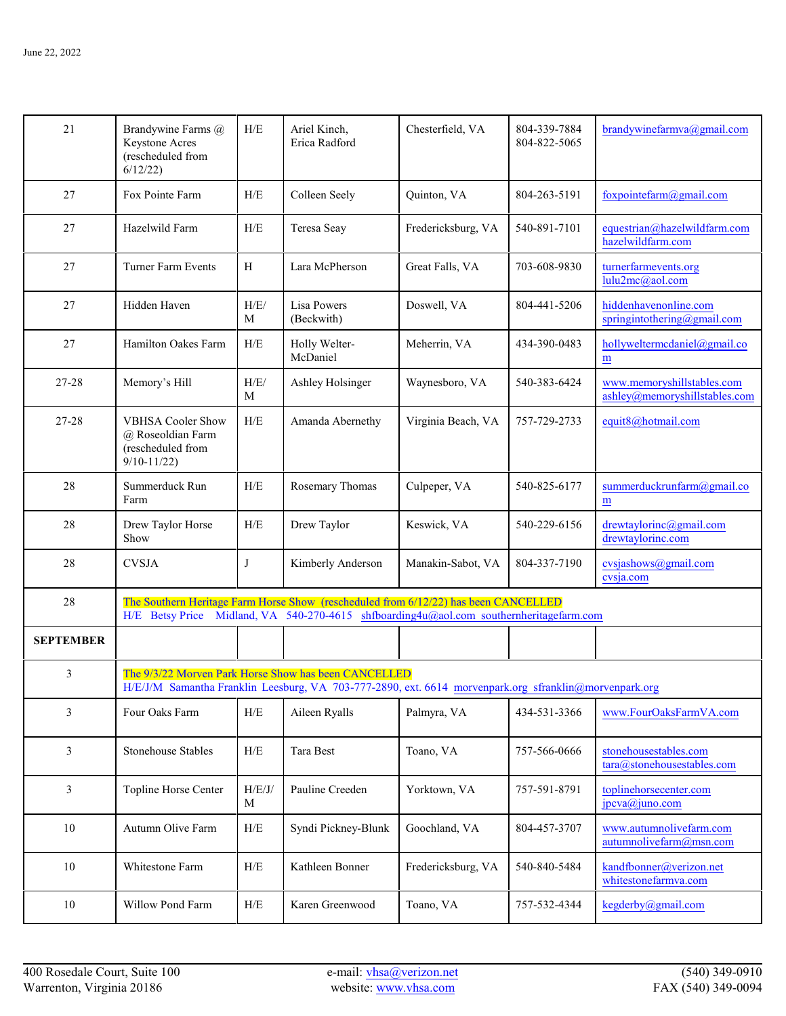| 21               | Brandywine Farms @<br>Keystone Acres<br>(rescheduled from<br>6/12/22                 | H/E         | Ariel Kinch,<br>Erica Radford                                                                                                                                                  | Chesterfield, VA   | 804-339-7884<br>804-822-5065 | brandywinefarmva@gmail.com                                  |
|------------------|--------------------------------------------------------------------------------------|-------------|--------------------------------------------------------------------------------------------------------------------------------------------------------------------------------|--------------------|------------------------------|-------------------------------------------------------------|
| 27               | Fox Pointe Farm                                                                      | H/E         | Colleen Seely                                                                                                                                                                  | Quinton, VA        | 804-263-5191                 | foxpointefarm@gmail.com                                     |
| 27               | Hazelwild Farm                                                                       | ${\rm H/E}$ | Teresa Seay                                                                                                                                                                    | Fredericksburg, VA | 540-891-7101                 | equestrian@hazelwildfarm.com<br>hazelwildfarm.com           |
| 27               | Turner Farm Events                                                                   | H           | Lara McPherson                                                                                                                                                                 | Great Falls, VA    | 703-608-9830                 | turnerfarmevents.org<br>lulu2mc@aol.com                     |
| 27               | Hidden Haven                                                                         | H/E/<br>М   | Lisa Powers<br>(Beckwith)                                                                                                                                                      | Doswell, VA        | 804-441-5206                 | hiddenhavenonline.com<br>springintothering@gmail.com        |
| 27               | Hamilton Oakes Farm                                                                  | H/E         | Holly Welter-<br>McDaniel                                                                                                                                                      | Meherrin, VA       | 434-390-0483                 | hollyweltermcdaniel@gmail.co<br>m                           |
| 27-28            | Memory's Hill                                                                        | H/E/<br>М   | Ashley Holsinger                                                                                                                                                               | Waynesboro, VA     | 540-383-6424                 | www.memoryshillstables.com<br>ashley@memoryshillstables.com |
| 27-28            | <b>VBHSA Cooler Show</b><br>@ Roseoldian Farm<br>(rescheduled from<br>$9/10 - 11/22$ | ${\rm H/E}$ | Amanda Abernethy                                                                                                                                                               | Virginia Beach, VA | 757-729-2733                 | equit8@hotmail.com                                          |
| 28               | Summerduck Run<br>Farm                                                               | ${\rm H/E}$ | Rosemary Thomas                                                                                                                                                                | Culpeper, VA       | 540-825-6177                 | summerduckrunfarm@gmail.co<br>m                             |
| 28               | Drew Taylor Horse<br>Show                                                            | ${\rm H/E}$ | Drew Taylor                                                                                                                                                                    | Keswick, VA        | 540-229-6156                 | drewtaylorinc@gmail.com<br>drewtaylorinc.com                |
| 28               | <b>CVSJA</b>                                                                         | J           | Kimberly Anderson                                                                                                                                                              | Manakin-Sabot, VA  | 804-337-7190                 | cvsjashows@gmail.com<br>cvsja.com                           |
| 28               |                                                                                      |             | The Southern Heritage Farm Horse Show (rescheduled from 6/12/22) has been CANCELLED<br>H/E Betsy Price Midland, VA 540-270-4615 shfboarding4u@aol.com southernheritagefarm.com |                    |                              |                                                             |
| <b>SEPTEMBER</b> |                                                                                      |             |                                                                                                                                                                                |                    |                              |                                                             |
| 3                |                                                                                      |             | The 9/3/22 Morven Park Horse Show has been CANCELLED<br>H/E/J/M Samantha Franklin Leesburg, VA 703-777-2890, ext. 6614 morvenpark.org sfranklin@morvenpark.org                 |                    |                              |                                                             |
| 3                | Four Oaks Farm                                                                       | H/E         | Aileen Ryalls                                                                                                                                                                  | Palmyra, VA        | 434-531-3366                 | www.FourOaksFarmVA.com                                      |
| 3                | Stonehouse Stables                                                                   | H/E         | Tara Best                                                                                                                                                                      | Toano, VA          | 757-566-0666                 | stonehousestables.com<br>tara@stonehousestables.com         |
| $\mathfrak{Z}$   | Topline Horse Center                                                                 | H/E/J/<br>М | Pauline Creeden                                                                                                                                                                | Yorktown, VA       | 757-591-8791                 | toplinehorsecenter.com<br>$jpcva(a)$ juno.com               |
| 10               | Autumn Olive Farm                                                                    | ${\rm H/E}$ | Syndi Pickney-Blunk                                                                                                                                                            | Goochland, VA      | 804-457-3707                 | www.autumnolivefarm.com<br>autumnolivefarm@msn.com          |
| 10               | Whitestone Farm                                                                      | ${\rm H/E}$ | Kathleen Bonner                                                                                                                                                                | Fredericksburg, VA | 540-840-5484                 | kandfbonner@verizon.net<br>whitestonefarmva.com             |
| $10\,$           | Willow Pond Farm                                                                     | ${\rm H/E}$ | Karen Greenwood                                                                                                                                                                | Toano, VA          | 757-532-4344                 | kegderby@gmail.com                                          |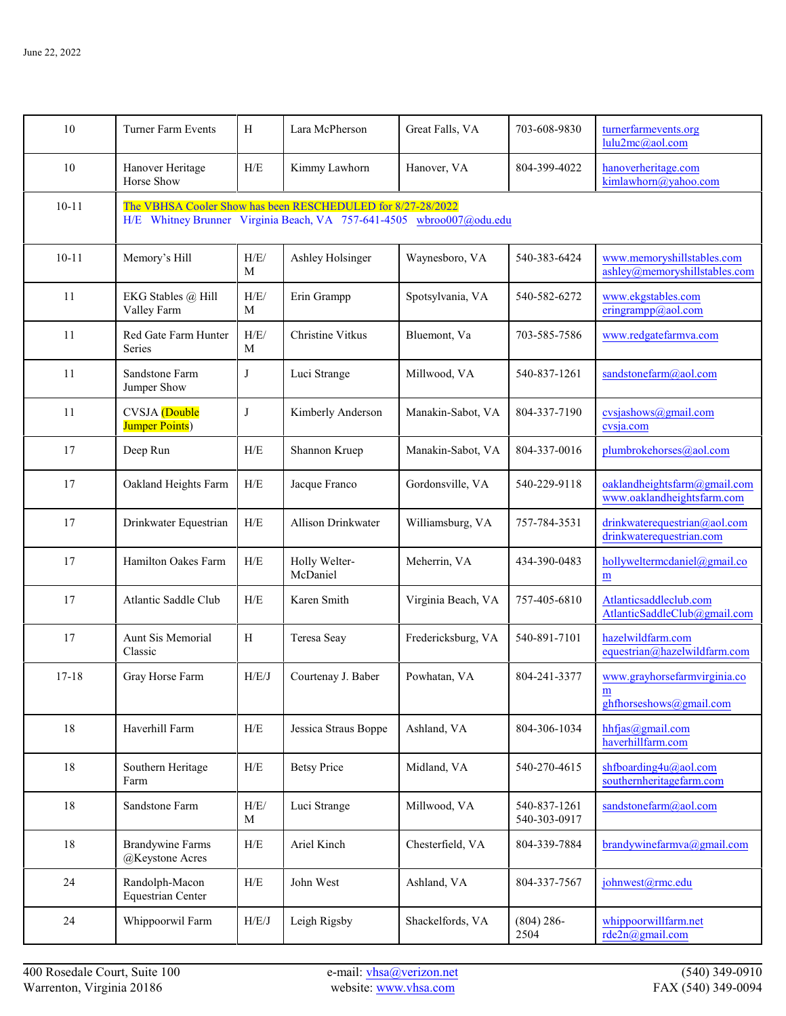| 10        | Turner Farm Events                                                                                                                  | H           | Lara McPherson            | Great Falls, VA    | 703-608-9830                 | turnerfarmevents.org<br>lulu2mc@aol.com                      |  |  |  |
|-----------|-------------------------------------------------------------------------------------------------------------------------------------|-------------|---------------------------|--------------------|------------------------------|--------------------------------------------------------------|--|--|--|
| 10        | Hanover Heritage<br>Horse Show                                                                                                      | H/E         | Kimmy Lawhorn             | Hanover, VA        | 804-399-4022                 | hanoverheritage.com<br>kimlawhorn@yahoo.com                  |  |  |  |
| $10 - 11$ | The VBHSA Cooler Show has been RESCHEDULED for 8/27-28/2022<br>H/E Whitney Brunner Virginia Beach, VA 757-641-4505 wbroo007@odu.edu |             |                           |                    |                              |                                                              |  |  |  |
| $10 - 11$ | Memory's Hill                                                                                                                       | H/E/<br>M   | Ashley Holsinger          | Waynesboro, VA     | 540-383-6424                 | www.memoryshillstables.com<br>ashley@memoryshillstables.com  |  |  |  |
| 11        | EKG Stables @ Hill<br>Valley Farm                                                                                                   | H/E/<br>M   | Erin Grampp               | Spotsylvania, VA   | 540-582-6272                 | www.ekgstables.com<br>eringrampp@aol.com                     |  |  |  |
| 11        | Red Gate Farm Hunter<br>Series                                                                                                      | H/E/<br>M   | Christine Vitkus          | Bluemont, Va       | 703-585-7586                 | www.redgatefarmva.com                                        |  |  |  |
| 11        | Sandstone Farm<br>Jumper Show                                                                                                       | J           | Luci Strange              | Millwood, VA       | 540-837-1261                 | sandstonefarm@aol.com                                        |  |  |  |
| 11        | CVSJA (Double<br><b>Jumper Points</b> )                                                                                             | J           | Kimberly Anderson         | Manakin-Sabot, VA  | 804-337-7190                 | cvsjashows@gmail.com<br>cvsja.com                            |  |  |  |
| 17        | Deep Run                                                                                                                            | H/E         | Shannon Kruep             | Manakin-Sabot, VA  | 804-337-0016                 | plumbrokehorses@aol.com                                      |  |  |  |
| 17        | Oakland Heights Farm                                                                                                                | H/E         | Jacque Franco             | Gordonsville, VA   | 540-229-9118                 | oaklandheightsfarm@gmail.com<br>www.oaklandheightsfarm.com   |  |  |  |
| 17        | Drinkwater Equestrian                                                                                                               | H/E         | Allison Drinkwater        | Williamsburg, VA   | 757-784-3531                 | drinkwaterequestrian@aol.com<br>drinkwaterequestrian.com     |  |  |  |
| 17        | Hamilton Oakes Farm                                                                                                                 | H/E         | Holly Welter-<br>McDaniel | Meherrin, VA       | 434-390-0483                 | hollyweltermcdaniel@gmail.co<br>${\bf m}$                    |  |  |  |
| 17        | Atlantic Saddle Club                                                                                                                | H/E         | Karen Smith               | Virginia Beach, VA | 757-405-6810                 | Atlanticsaddleclub.com<br>AtlanticSaddleClub@gmail.com       |  |  |  |
| 17        | Aunt Sis Memorial<br>Classic                                                                                                        | H           | Teresa Seay               | Fredericksburg, VA | 540-891-7101                 | hazelwildfarm.com<br>equestrian@hazelwildfarm.com            |  |  |  |
| $17 - 18$ | Gray Horse Farm                                                                                                                     | H/E/J       | Courtenay J. Baber        | Powhatan, VA       | 804-241-3377                 | www.grayhorsefarmvirginia.co<br>m<br>ghthorseshows@gmail.com |  |  |  |
| $18\,$    | Haverhill Farm                                                                                                                      | H/E         | Jessica Straus Boppe      | Ashland, VA        | 804-306-1034                 | hhfjas@gmail.com<br>haverhillfarm.com                        |  |  |  |
| 18        | Southern Heritage<br>Farm                                                                                                           | ${\rm H/E}$ | <b>Betsy Price</b>        | Midland, VA        | 540-270-4615                 | shfboarding4u@aol.com<br>southernheritagefarm.com            |  |  |  |
| 18        | Sandstone Farm                                                                                                                      | H/E/<br>M   | Luci Strange              | Millwood, VA       | 540-837-1261<br>540-303-0917 | sandstonefarm@aol.com                                        |  |  |  |
| 18        | <b>Brandywine Farms</b><br>@Keystone Acres                                                                                          | H/E         | Ariel Kinch               | Chesterfield, VA   | 804-339-7884                 | brandywinefarmva@gmail.com                                   |  |  |  |
| 24        | Randolph-Macon<br><b>Equestrian Center</b>                                                                                          | ${\rm H/E}$ | John West                 | Ashland, VA        | 804-337-7567                 | johnwest@rmc.edu                                             |  |  |  |
| 24        | Whippoorwil Farm                                                                                                                    | H/E/J       | Leigh Rigsby              | Shackelfords, VA   | $(804) 286 -$<br>2504        | whippoorwillfarm.net<br>rde2n@gmail.com                      |  |  |  |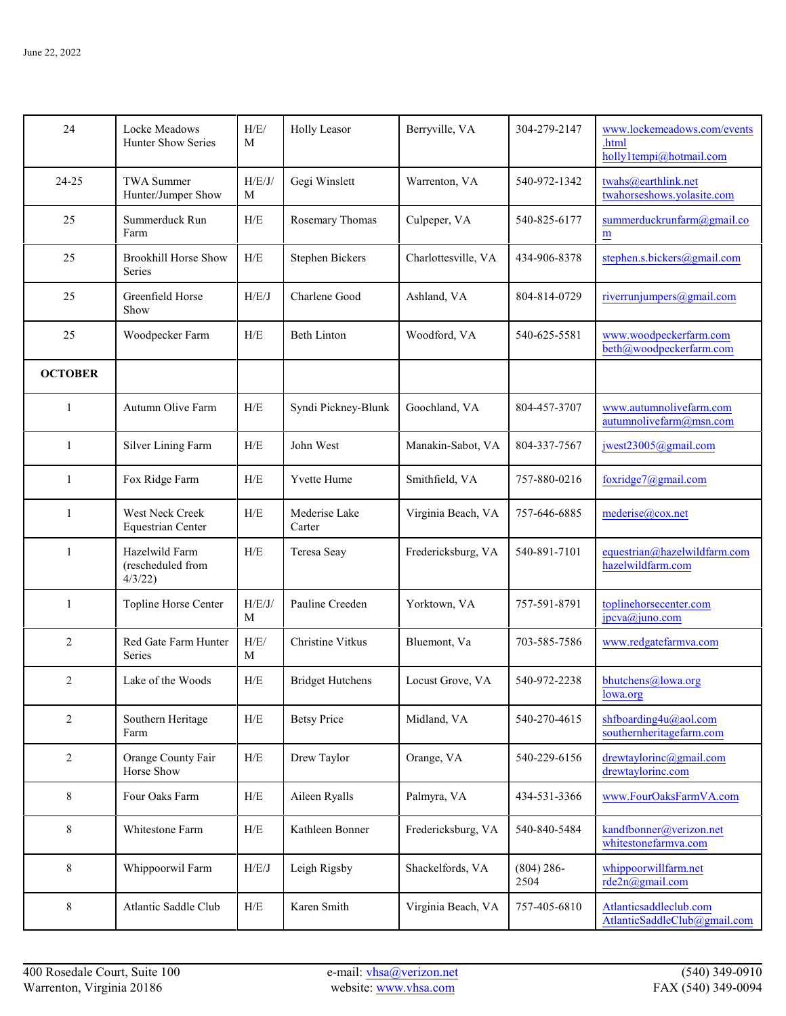| 24             | Locke Meadows<br>Hunter Show Series           | H/E/<br>M   | <b>Holly Leasor</b>     | Berryville, VA      | 304-279-2147          | www.lockemeadows.com/events<br>.html<br>holly1tempi@hotmail.com |
|----------------|-----------------------------------------------|-------------|-------------------------|---------------------|-----------------------|-----------------------------------------------------------------|
| 24-25          | <b>TWA Summer</b><br>Hunter/Jumper Show       | H/E/J/<br>M | Gegi Winslett           | Warrenton, VA       | 540-972-1342          | twahs@earthlink.net<br>twahorseshows.yolasite.com               |
| 25             | Summerduck Run<br>Farm                        | H/E         | Rosemary Thomas         | Culpeper, VA        | 540-825-6177          | summerduckrunfarm@gmail.co<br>$\underline{\mathbf{m}}$          |
| 25             | <b>Brookhill Horse Show</b><br>Series         | H/E         | Stephen Bickers         | Charlottesville, VA | 434-906-8378          | stephen.s.bickers@gmail.com                                     |
| 25             | Greenfield Horse<br>Show                      | H/E/J       | Charlene Good           | Ashland, VA         | 804-814-0729          | riverrunjumpers@gmail.com                                       |
| 25             | Woodpecker Farm                               | H/E         | <b>Beth Linton</b>      | Woodford, VA        | 540-625-5581          | www.woodpeckerfarm.com<br>beth@woodpeckerfarm.com               |
| <b>OCTOBER</b> |                                               |             |                         |                     |                       |                                                                 |
| 1              | Autumn Olive Farm                             | H/E         | Syndi Pickney-Blunk     | Goochland, VA       | 804-457-3707          | www.autumnolivefarm.com<br>autumnolivefarm@msn.com              |
| 1              | Silver Lining Farm                            | H/E         | John West               | Manakin-Sabot, VA   | 804-337-7567          | jwest23005@gmail.com                                            |
| $\mathbf{1}$   | Fox Ridge Farm                                | H/E         | Yvette Hume             | Smithfield, VA      | 757-880-0216          | foxridge7@gmail.com                                             |
| $\mathbf{1}$   | West Neck Creek<br><b>Equestrian Center</b>   | H/E         | Mederise Lake<br>Carter | Virginia Beach, VA  | 757-646-6885          | mederise@cox.net                                                |
| 1              | Hazelwild Farm<br>(rescheduled from<br>4/3/22 | H/E         | Teresa Seay             | Fredericksburg, VA  | 540-891-7101          | equestrian@hazelwildfarm.com<br>hazelwildfarm.com               |
| 1              | Topline Horse Center                          | H/E/J/<br>M | Pauline Creeden         | Yorktown, VA        | 757-591-8791          | toplinehorsecenter.com<br>jpcva@juno.com                        |
| $\overline{2}$ | Red Gate Farm Hunter<br>Series                | H/E/<br>M   | Christine Vitkus        | Bluemont, Va        | 703-585-7586          | www.redgatefarmva.com                                           |
| 2              | Lake of the Woods                             | H/E         | <b>Bridget Hutchens</b> | Locust Grove, VA    | 540-972-2238          | bhutchens@lowa.org<br>lowa.org                                  |
| 2              | Southern Heritage<br>Farm                     | ${\rm H/E}$ | <b>Betsy Price</b>      | Midland, VA         | 540-270-4615          | shfboarding4u@aol.com<br>southernheritagefarm.com               |
| $\overline{2}$ | Orange County Fair<br>Horse Show              | H/E         | Drew Taylor             | Orange, VA          | 540-229-6156          | drewtaylorinc@gmail.com<br>drewtaylorinc.com                    |
| 8              | Four Oaks Farm                                | ${\rm H/E}$ | Aileen Ryalls           | Palmyra, VA         | 434-531-3366          | www.FourOaksFarmVA.com                                          |
| 8              | Whitestone Farm                               | H/E         | Kathleen Bonner         | Fredericksburg, VA  | 540-840-5484          | kandfbonner@verizon.net<br>whitestonefarmva.com                 |
| $\,$ 8 $\,$    | Whippoorwil Farm                              | H/E/J       | Leigh Rigsby            | Shackelfords, VA    | $(804) 286 -$<br>2504 | whippoorwillfarm.net<br>rde2n@gmail.com                         |
| 8              | Atlantic Saddle Club                          | ${\rm H/E}$ | Karen Smith             | Virginia Beach, VA  | 757-405-6810          | Atlanticsaddleclub.com<br>AtlanticSaddleClub@gmail.com          |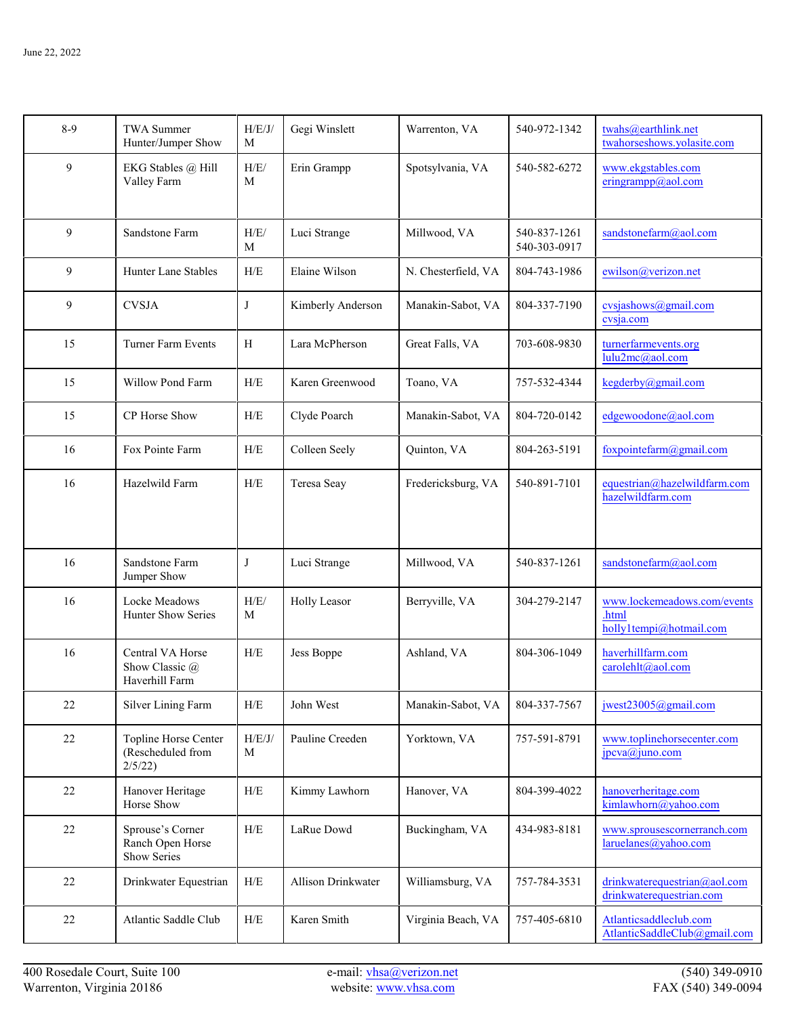| $8-9$ | <b>TWA Summer</b><br>Hunter/Jumper Show              | H/E/J/<br>M | Gegi Winslett      | Warrenton, VA       | 540-972-1342                 | twahs@earthlink.net<br>twahorseshows.yolasite.com               |
|-------|------------------------------------------------------|-------------|--------------------|---------------------|------------------------------|-----------------------------------------------------------------|
| 9     | EKG Stables @ Hill<br>Valley Farm                    | H/E/<br>M   | Erin Grampp        | Spotsylvania, VA    | 540-582-6272                 | www.ekgstables.com<br>eringrampp@aol.com                        |
| 9     | Sandstone Farm                                       | H/E/<br>M   | Luci Strange       | Millwood, VA        | 540-837-1261<br>540-303-0917 | sandstonefarm@aol.com                                           |
| 9     | <b>Hunter Lane Stables</b>                           | H/E         | Elaine Wilson      | N. Chesterfield, VA | 804-743-1986                 | ewilson@verizon.net                                             |
| 9     | <b>CVSJA</b>                                         | J           | Kimberly Anderson  | Manakin-Sabot, VA   | 804-337-7190                 | cvsjashows@gmail.com<br>cvsja.com                               |
| 15    | <b>Turner Farm Events</b>                            | H           | Lara McPherson     | Great Falls, VA     | 703-608-9830                 | turnerfarmevents.org<br>lulu2mc@aol.com                         |
| 15    | Willow Pond Farm                                     | H/E         | Karen Greenwood    | Toano, VA           | 757-532-4344                 | kegderby@gmail.com                                              |
| 15    | CP Horse Show                                        | H/E         | Clyde Poarch       | Manakin-Sabot, VA   | 804-720-0142                 | edgewoodone@aol.com                                             |
| 16    | Fox Pointe Farm                                      | H/E         | Colleen Seely      | Quinton, VA         | 804-263-5191                 | foxpointefarm@gmail.com                                         |
| 16    | Hazelwild Farm                                       | H/E         | Teresa Seay        | Fredericksburg, VA  | 540-891-7101                 | equestrian@hazelwildfarm.com<br>hazelwildfarm.com               |
| 16    | Sandstone Farm<br>Jumper Show                        | J           | Luci Strange       | Millwood, VA        | 540-837-1261                 | sandstonefarm@aol.com                                           |
| 16    | Locke Meadows<br>Hunter Show Series                  | H/E/<br>M   | Holly Leasor       | Berryville, VA      | 304-279-2147                 | www.lockemeadows.com/events<br>.html<br>holly1tempi@hotmail.com |
| 16    | Central VA Horse<br>Show Classic @<br>Haverhill Farm | H/E         | Jess Boppe         | Ashland, VA         | 804-306-1049                 | haverhillfarm.com<br>carolehlt@aol.com                          |
| 22    | Silver Lining Farm                                   | H/E         | John West          | Manakin-Sabot, VA   | 804-337-7567                 | jwest23005@gmail.com                                            |
| 22    | Topline Horse Center<br>(Rescheduled from<br>2/5/22  | H/E/J/<br>M | Pauline Creeden    | Yorktown, VA        | 757-591-8791                 | www.toplinehorsecenter.com<br>jpcva@juno.com                    |
| 22    | Hanover Heritage<br>Horse Show                       | H/E         | Kimmy Lawhorn      | Hanover, VA         | 804-399-4022                 | hanoverheritage.com<br>kimlawhorn@yahoo.com                     |
| 22    | Sprouse's Corner<br>Ranch Open Horse<br>Show Series  | H/E         | LaRue Dowd         | Buckingham, VA      | 434-983-8181                 | www.sprousescornerranch.com<br>laruelanes@yahoo.com             |
| 22    | Drinkwater Equestrian                                | H/E         | Allison Drinkwater | Williamsburg, VA    | 757-784-3531                 | drinkwaterequestrian@aol.com<br>drinkwaterequestrian.com        |
| 22    | Atlantic Saddle Club                                 | ${\rm H/E}$ | Karen Smith        | Virginia Beach, VA  | 757-405-6810                 | Atlanticsaddleclub.com<br>AtlanticSaddleClub@gmail.com          |